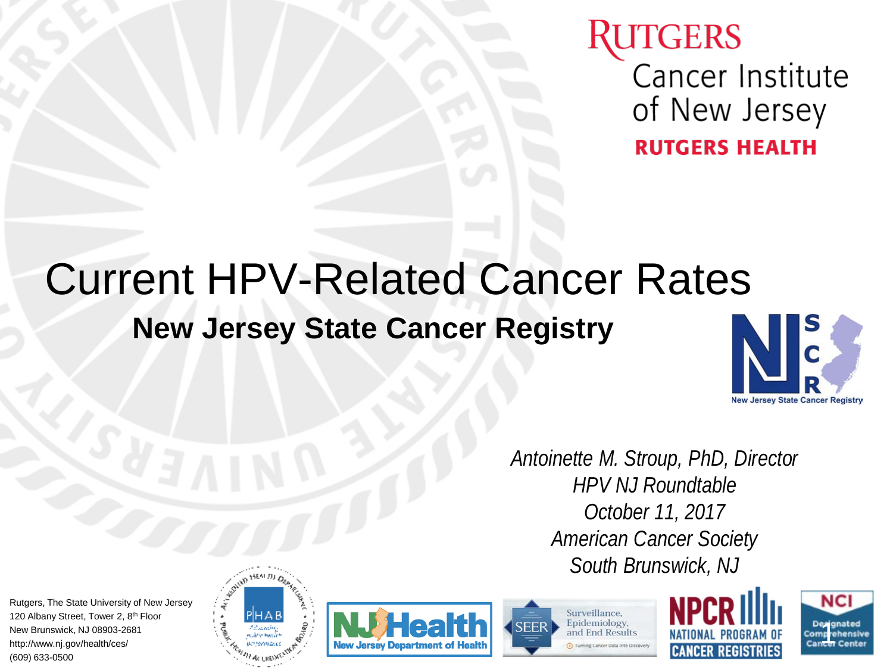## **ITGERS** Cancer Institute of New Jersey **RUTGERS HEALTH**

# **New Jersey State Cancer Registry** Current HPV-Related Cancer Rates



*Antoinette M. Stroup, PhD, Director HPV NJ Roundtable October 11, 2017 American Cancer Society South Brunswick, NJ*

Rutgers, The State University of New Jersey 120 Albany Street, Tower 2, 8<sup>th</sup> Floor New Brunswick, NJ 08903-2681 http://www.nj.gov/health/ces/ (609) 633-0500









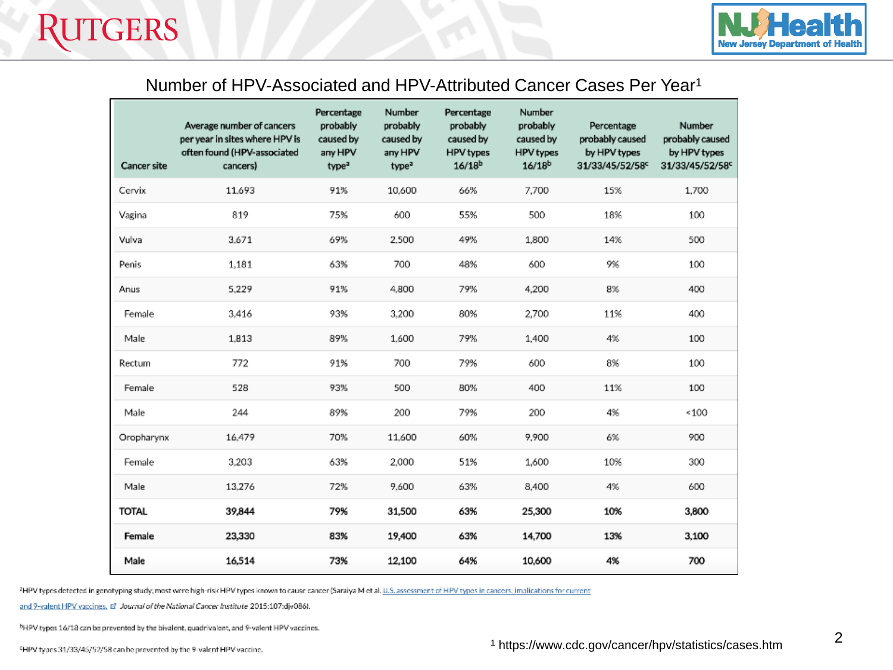

#### Number of HPV-Associated and HPV-Attributed Cancer Cases Per Year1

| <b>Cancer site</b> | Average number of cancers<br>per year in sites where HPV is<br>often found (HPV-associated<br>cancers) | Percentage<br>probably<br>caused by<br>any HPV<br>type <sup>a</sup> | Number<br>probably<br>caused by<br>any HPV<br>type <sup>a</sup> | Percentage<br>probably<br>caused by<br><b>HPV</b> types<br>$16/18^{b}$ | Number<br>probably<br>caused by<br>HPV types<br>16/18 <sup>b</sup> | Percentage<br>probably caused<br>by HPV types<br>31/33/45/52/58c | Number<br>probably caused<br>by HPV types<br>31/33/45/52/58° |
|--------------------|--------------------------------------------------------------------------------------------------------|---------------------------------------------------------------------|-----------------------------------------------------------------|------------------------------------------------------------------------|--------------------------------------------------------------------|------------------------------------------------------------------|--------------------------------------------------------------|
| Cervix             | 11.693                                                                                                 | 91%                                                                 | 10,600                                                          | 66%                                                                    | 7,700                                                              | 15%                                                              | 1,700                                                        |
| Vagina             | 819                                                                                                    | 75%                                                                 | 600                                                             | 55%                                                                    | 500                                                                | 18%                                                              | 100                                                          |
| Vulva              | 3.671                                                                                                  | 69%                                                                 | 2.500                                                           | 49%                                                                    | 1,800                                                              | 14%                                                              | 500                                                          |
| Penis              | 1,181                                                                                                  | 63%                                                                 | 700                                                             | 48%                                                                    | 600                                                                | 9%                                                               | 100                                                          |
| Anus               | 5,229                                                                                                  | 91%                                                                 | 4,800                                                           | 79%                                                                    | 4,200                                                              | 8%                                                               | 400                                                          |
| Female             | 3,416                                                                                                  | 93%                                                                 | 3,200                                                           | 80%                                                                    | 2,700                                                              | 11%                                                              | 400                                                          |
| Male               | 1.813                                                                                                  | 89%                                                                 | 1.600                                                           | 79%                                                                    | 1,400                                                              | 4%                                                               | 100                                                          |
| Rectum             | 772                                                                                                    | 91%                                                                 | 700                                                             | 79%                                                                    | 600                                                                | 8%                                                               | 100                                                          |
| Female             | 528                                                                                                    | 93%                                                                 | 500                                                             | 80%                                                                    | 400                                                                | 11%                                                              | 100                                                          |
| Male               | 244                                                                                                    | 89%                                                                 | 200                                                             | 79%                                                                    | 200                                                                | 4%                                                               | ~100                                                         |
| Oropharynx         | 16.479                                                                                                 | 70%                                                                 | 11.600                                                          | 60%                                                                    | 9,900                                                              | 6%                                                               | 900                                                          |
| Female             | 3,203                                                                                                  | 63%                                                                 | 2,000                                                           | 51%                                                                    | 1,600                                                              | 10%                                                              | 300                                                          |
| Male               | 13,276                                                                                                 | 72%                                                                 | 9.600                                                           | 63%                                                                    | 8,400                                                              | 4%                                                               | 600                                                          |
| <b>TOTAL</b>       | 39,844                                                                                                 | 79%                                                                 | 31,500                                                          | 63%                                                                    | 25,300                                                             | 10%                                                              | 3,800                                                        |
| Female             | 23,330                                                                                                 | 83%                                                                 | 19,400                                                          | 63%                                                                    | 14,700                                                             | 13%                                                              | 3,100                                                        |
| Male               | 16,514                                                                                                 | 73%                                                                 | 12,100                                                          | 64%                                                                    | 10,600                                                             | 4%                                                               | 700                                                          |

<sup>2</sup>HPV types detected in genotyping study; most were high-risk HPV types known to cause cancer (Saraiya M et al. U.S. assessment of HPV types in cancers: implications for current

and 9-valent HPV vaccines, (2) Journal of the National Cancer Institute 2015;107:djv086).

NHPV types 16/18 can be prevented by the bivalent, quadrivalent, and 9-valent HPV vaccines.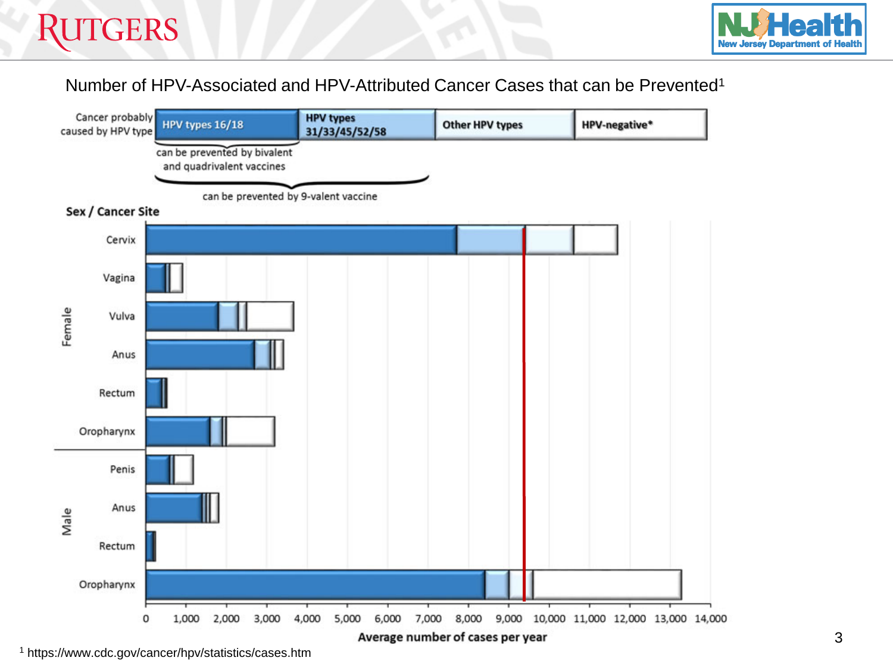

#### Number of HPV-Associated and HPV-Attributed Cancer Cases that can be Prevented1



<sup>1</sup> https://www.cdc.gov/cancer/hpv/statistics/cases.htm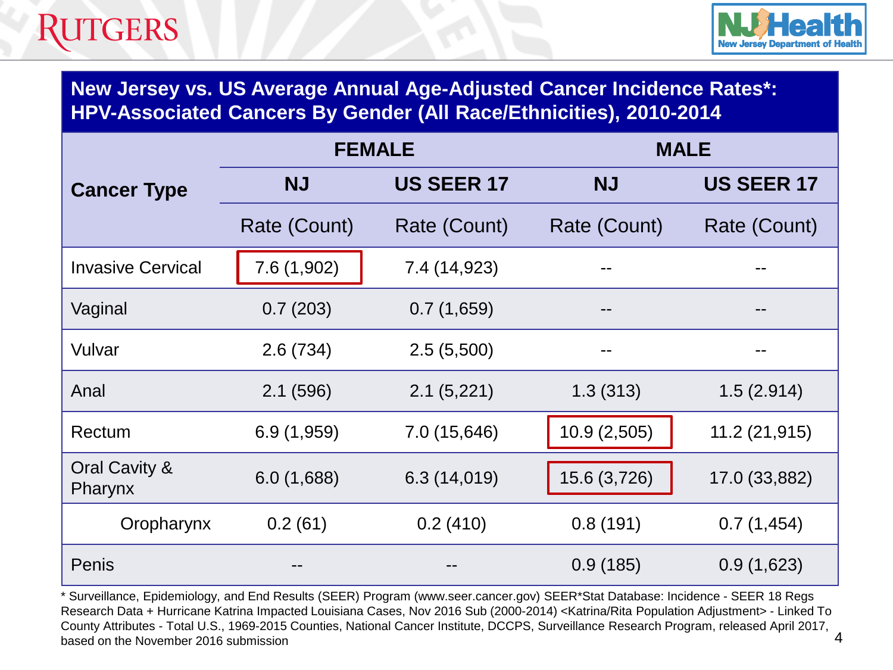

**New Jersey vs. US Average Annual Age-Adjusted Cancer Incidence Rates\*: HPV-Associated Cancers By Gender (All Race/Ethnicities), 2010-2014**

|                          |                                | <b>FEMALE</b> | <b>MALE</b>  |                   |  |
|--------------------------|--------------------------------|---------------|--------------|-------------------|--|
| <b>Cancer Type</b>       | <b>US SEER 17</b><br><b>NJ</b> |               | <b>NJ</b>    | <b>US SEER 17</b> |  |
|                          | Rate (Count)                   | Rate (Count)  | Rate (Count) | Rate (Count)      |  |
| <b>Invasive Cervical</b> | 7.6(1,902)                     | 7.4 (14,923)  | --           | --                |  |
| Vaginal                  | 0.7(203)                       | 0.7(1,659)    | --           | --                |  |
| Vulvar                   | 2.6(734)                       | 2.5(5,500)    | --           | --                |  |
| Anal                     | 2.1(596)                       | 2.1(5,221)    | 1.3(313)     | 1.5(2.914)        |  |
| Rectum                   | 6.9(1,959)                     | 7.0 (15,646)  | 10.9(2,505)  | 11.2 (21,915)     |  |
| Oral Cavity &<br>Pharynx | 6.0(1,688)                     | 6.3 (14,019)  | 15.6 (3,726) | 17.0 (33,882)     |  |
| Oropharynx               | 0.2(61)                        | 0.2(410)      | 0.8(191)     | 0.7(1,454)        |  |
| Penis                    |                                |               | 0.9(185)     | 0.9(1,623)        |  |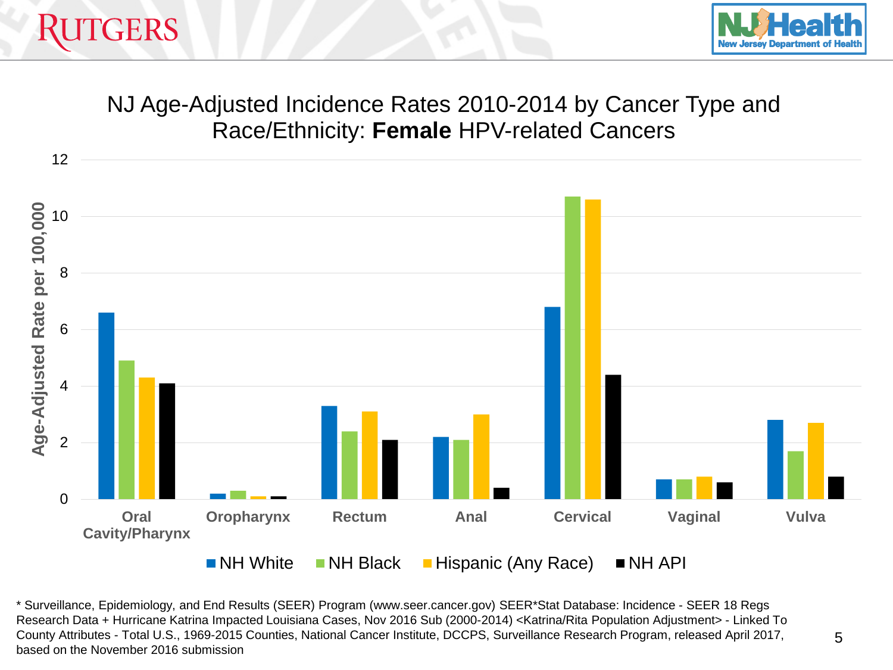



### NJ Age-Adjusted Incidence Rates 2010-2014 by Cancer Type and Race/Ethnicity: **Female** HPV-related Cancers

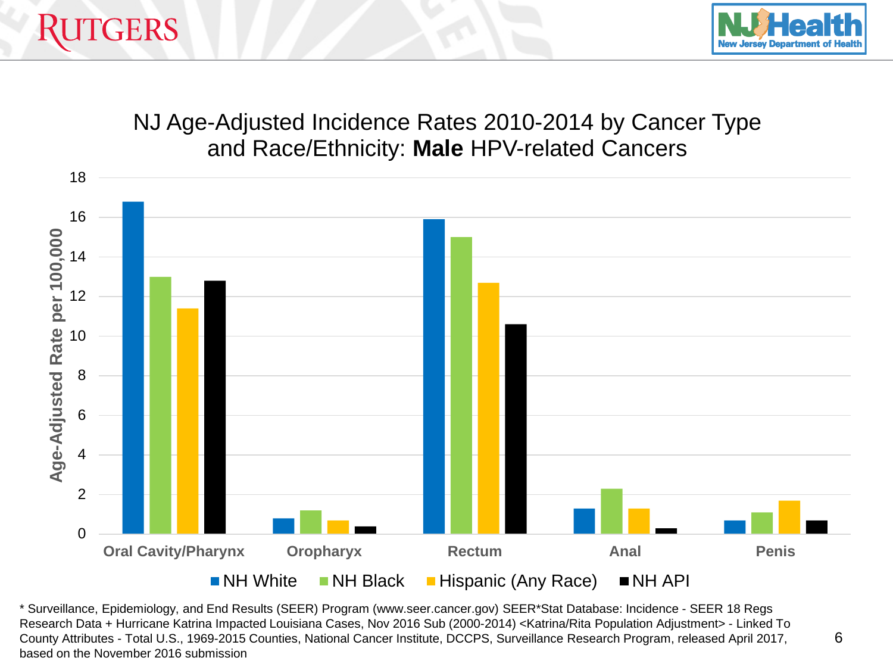



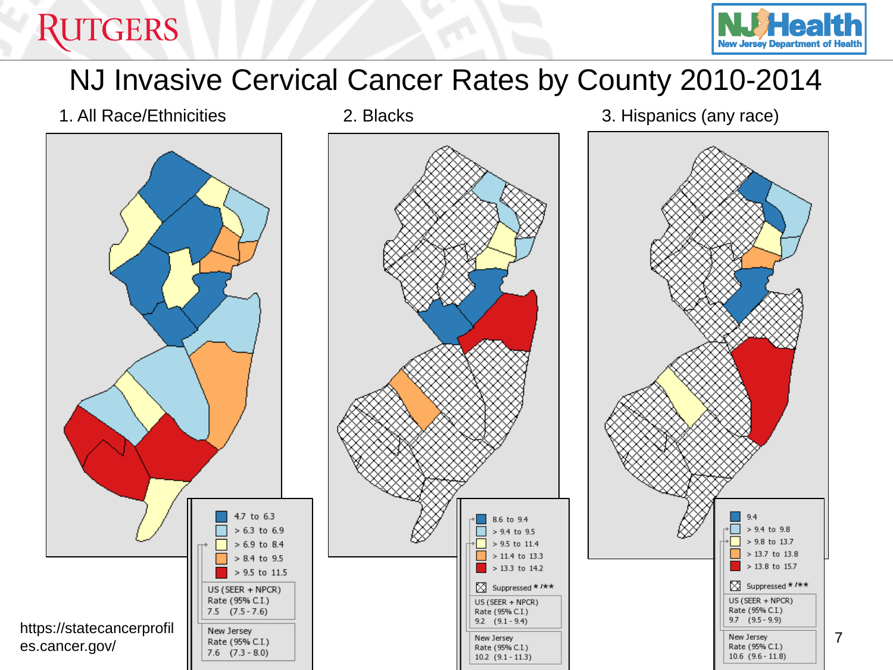## **RUTGERS**



## NJ Invasive Cervical Cancer Rates by County 2010-2014

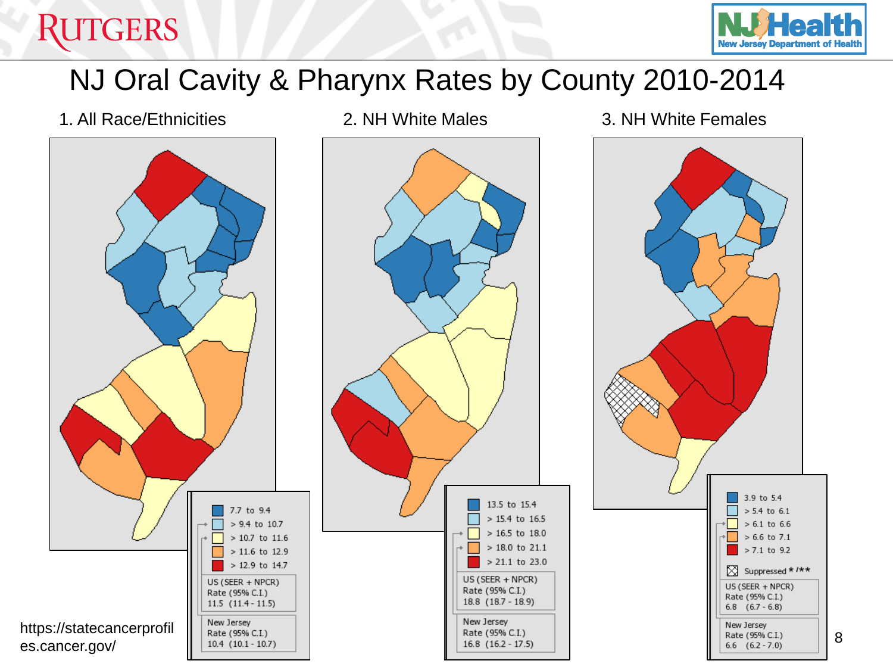# **RUTGERS**



## NJ Oral Cavity & Pharynx Rates by County 2010-2014

13.5 to 15.4

 $> 15.4$  to 16.5

> 16.5 to 18.0

> 18.0 to 21.1

> 21.1 to 23.0

US (SEER + NPCR)

Rate (95% C.I.)

Rate (95% C.I.)

 $16.8$   $(16.2 - 17.5)$ 

New Jersey

18.8 (18.7 - 18.9)

1. All Race/Ethnicities 2. NH White Males 3. NH White Females







Rate (95% C.I.)

 $6.8$   $(6.7 - 6.8)$ 

Rate (95% C.I.)

 $6.6$   $(6.2 - 7.0)$ 

New Jersey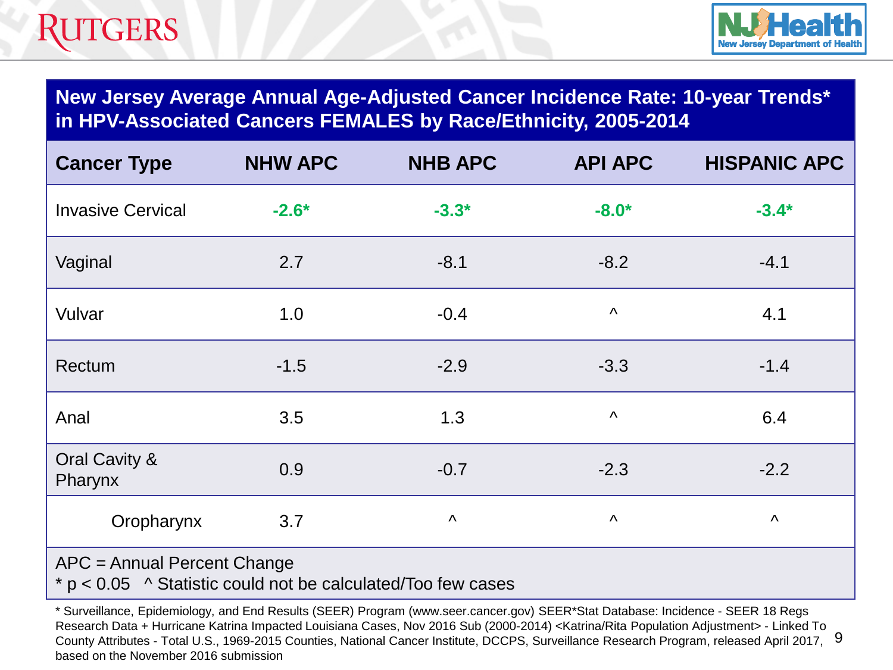

**New Jersey Average Annual Age-Adjusted Cancer Incidence Rate: 10-year Trends\* in HPV-Associated Cancers FEMALES by Race/Ethnicity, 2005-2014**

| <b>Cancer Type</b>       | <b>NHW APC</b> | <b>NHB APC</b>        | <b>API APC</b>        | <b>HISPANIC APC</b>   |
|--------------------------|----------------|-----------------------|-----------------------|-----------------------|
| <b>Invasive Cervical</b> | $-2.6*$        | $-3.3*$               | $-8.0*$               | $-3.4*$               |
| Vaginal                  | 2.7            | $-8.1$                | $-8.2$                | $-4.1$                |
| Vulvar                   | 1.0            | $-0.4$                | $\boldsymbol{\wedge}$ | 4.1                   |
| Rectum                   | $-1.5$         | $-2.9$                | $-3.3$                | $-1.4$                |
| Anal                     | 3.5            | 1.3                   | $\boldsymbol{\wedge}$ | 6.4                   |
| Oral Cavity &<br>Pharynx | 0.9            | $-0.7$                | $-2.3$                | $-2.2$                |
| Oropharynx               | 3.7            | $\boldsymbol{\wedge}$ | $\Lambda$             | $\boldsymbol{\wedge}$ |
|                          |                |                       |                       |                       |

APC = Annual Percent Change

 $* p < 0.05$  ^ Statistic could not be calculated/Too few cases

County Attributes - Total U.S., 1969-2015 Counties, National Cancer Institute, DCCPS, Surveillance Research Program, released April 2017, 9 \* Surveillance, Epidemiology, and End Results (SEER) Program (www.seer.cancer.gov) SEER\*Stat Database: Incidence - SEER 18 Regs Research Data + Hurricane Katrina Impacted Louisiana Cases, Nov 2016 Sub (2000-2014) <Katrina/Rita Population Adjustment> - Linked To based on the November 2016 submission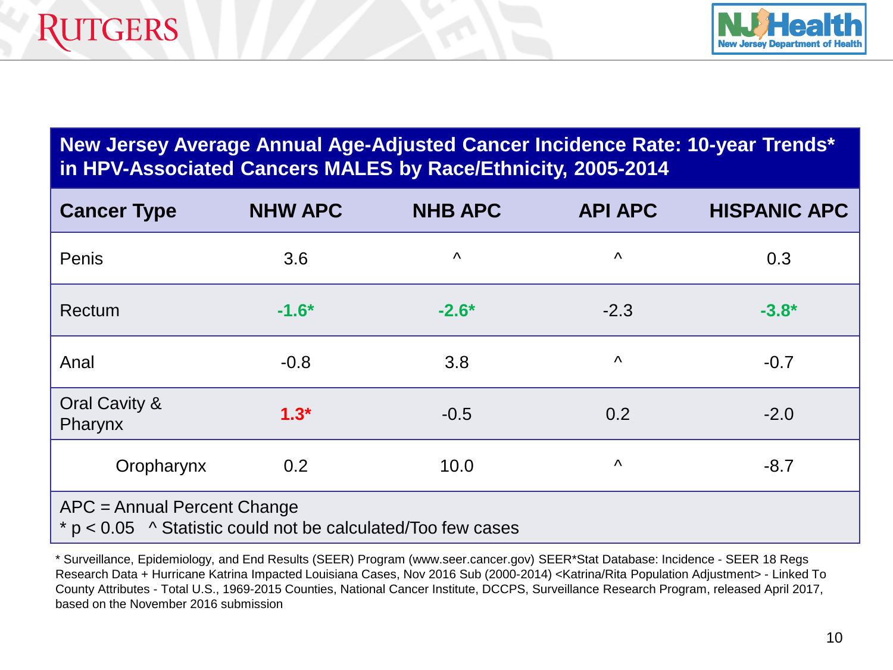

#### **New Jersey Average Annual Age-Adjusted Cancer Incidence Rate: 10-year Trends\* in HPV-Associated Cancers MALES by Race/Ethnicity, 2005-2014**

| <b>Cancer Type</b>                                                                            | <b>NHW APC</b> | <b>NHB APC</b>        | <b>API APC</b> | <b>HISPANIC APC</b> |  |
|-----------------------------------------------------------------------------------------------|----------------|-----------------------|----------------|---------------------|--|
| Penis                                                                                         | 3.6            | $\boldsymbol{\wedge}$ | Λ              | 0.3                 |  |
| Rectum                                                                                        | $-1.6*$        | $-2.6*$               | $-2.3$         | $-3.8*$             |  |
| Anal                                                                                          | $-0.8$         | 3.8                   | Λ              | $-0.7$              |  |
| Oral Cavity &<br>Pharynx                                                                      | $1.3*$         | $-0.5$                | 0.2            | $-2.0$              |  |
| Oropharynx                                                                                    | 0.2            | 10.0                  | Λ              | $-8.7$              |  |
| APC = Annual Percent Change<br>$* p < 0.05$ ^ Statistic could not be calculated/Too few cases |                |                       |                |                     |  |